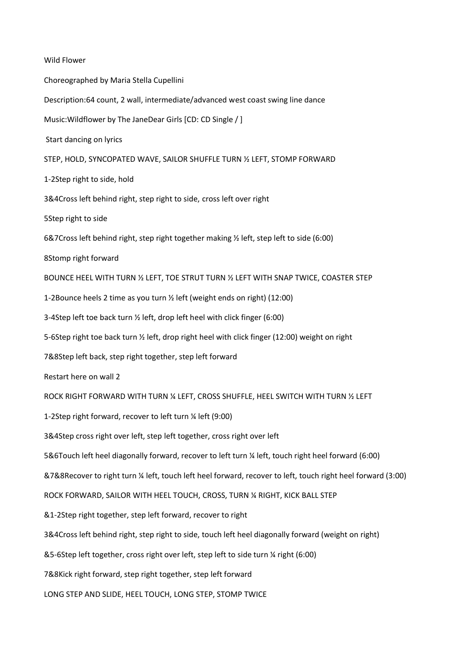Wild Flower Choreographed by Maria Stella Cupellini Description:64 count, 2 wall, intermediate/advanced west coast swing line dance Music:Wildflower by The JaneDear Girls [CD: CD Single / ] Start dancing on lyrics STEP, HOLD, SYNCOPATED WAVE, SAILOR SHUFFLE TURN ½ LEFT, STOMP FORWARD 1-2Step right to side, hold 3&4Cross left behind right, step right to side, cross left over right 5Step right to side 6&7Cross left behind right, step right together making ½ left, step left to side (6:00) 8Stomp right forward BOUNCE HEEL WITH TURN ½ LEFT, TOE STRUT TURN ½ LEFT WITH SNAP TWICE, COASTER STEP 1-2Bounce heels 2 time as you turn ½ left (weight ends on right) (12:00) 3-4Step left toe back turn ½ left, drop left heel with click finger (6:00) 5-6Step right toe back turn ½ left, drop right heel with click finger (12:00) weight on right 7&8Step left back, step right together, step left forward Restart here on wall 2 ROCK RIGHT FORWARD WITH TURN ¼ LEFT, CROSS SHUFFLE, HEEL SWITCH WITH TURN ½ LEFT 1-2Step right forward, recover to left turn ¼ left (9:00) 3&4Step cross right over left, step left together, cross right over left 5&6Touch left heel diagonally forward, recover to left turn ¼ left, touch right heel forward (6:00) &7&8Recover to right turn ¼ left, touch left heel forward, recover to left, touch right heel forward (3:00) ROCK FORWARD, SAILOR WITH HEEL TOUCH, CROSS, TURN ¼ RIGHT, KICK BALL STEP &1-2Step right together, step left forward, recover to right 3&4Cross left behind right, step right to side, touch left heel diagonally forward (weight on right) &5-6Step left together, cross right over left, step left to side turn ¼ right (6:00) 7&8Kick right forward, step right together, step left forward LONG STEP AND SLIDE, HEEL TOUCH, LONG STEP, STOMP TWICE